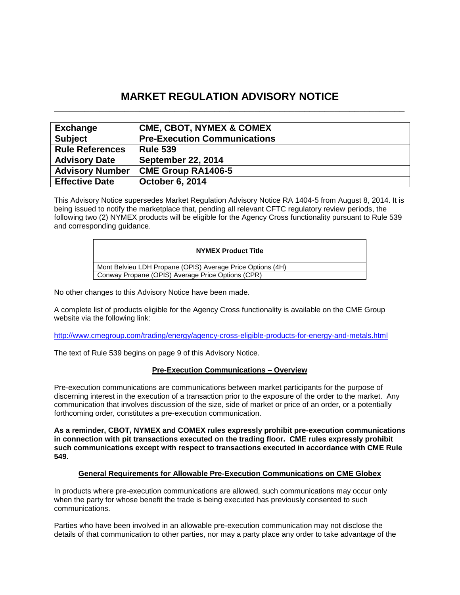# **MARKET REGULATION ADVISORY NOTICE \_\_\_\_\_\_\_\_\_\_\_\_\_\_\_\_\_\_\_\_\_\_\_\_\_\_\_\_\_\_\_\_\_\_\_\_\_\_\_\_\_\_\_\_\_\_\_\_\_\_\_\_\_\_\_\_\_\_\_\_\_\_\_\_\_\_\_\_\_\_**

| Exchange               | <b>CME, CBOT, NYMEX &amp; COMEX</b> |
|------------------------|-------------------------------------|
| <b>Subject</b>         | <b>Pre-Execution Communications</b> |
| <b>Rule References</b> | <b>Rule 539</b>                     |
| <b>Advisory Date</b>   | <b>September 22, 2014</b>           |
| <b>Advisory Number</b> | <b>CME Group RA1406-5</b>           |
| <b>Effective Date</b>  | October 6, 2014                     |

This Advisory Notice supersedes Market Regulation Advisory Notice RA 1404-5 from August 8, 2014. It is being issued to notify the marketplace that, pending all relevant CFTC regulatory review periods, the following two (2) NYMEX products will be eligible for the Agency Cross functionality pursuant to Rule 539 and corresponding guidance.

#### **NYMEX Product Title**

Mont Belvieu LDH Propane (OPIS) Average Price Options (4H) Conway Propane (OPIS) Average Price Options (CPR)

No other changes to this Advisory Notice have been made.

A complete list of products eligible for the Agency Cross functionality is available on the CME Group website via the following link:

<http://www.cmegroup.com/trading/energy/agency-cross-eligible-products-for-energy-and-metals.html>

The text of Rule 539 begins on page 9 of this Advisory Notice.

# **Pre-Execution Communications – Overview**

Pre-execution communications are communications between market participants for the purpose of discerning interest in the execution of a transaction prior to the exposure of the order to the market. Any communication that involves discussion of the size, side of market or price of an order, or a potentially forthcoming order, constitutes a pre-execution communication.

**As a reminder, CBOT, NYMEX and COMEX rules expressly prohibit pre-execution communications in connection with pit transactions executed on the trading floor. CME rules expressly prohibit such communications except with respect to transactions executed in accordance with CME Rule 549.** 

# **General Requirements for Allowable Pre-Execution Communications on CME Globex**

In products where pre-execution communications are allowed, such communications may occur only when the party for whose benefit the trade is being executed has previously consented to such communications.

Parties who have been involved in an allowable pre-execution communication may not disclose the details of that communication to other parties, nor may a party place any order to take advantage of the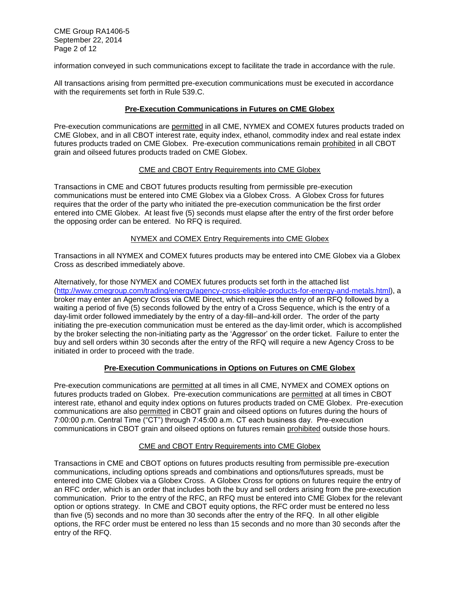CME Group RA1406-5 September 22, 2014 Page 2 of 12

information conveyed in such communications except to facilitate the trade in accordance with the rule.

All transactions arising from permitted pre-execution communications must be executed in accordance with the requirements set forth in Rule 539.C.

# **Pre-Execution Communications in Futures on CME Globex**

Pre-execution communications are permitted in all CME, NYMEX and COMEX futures products traded on CME Globex, and in all CBOT interest rate, equity index, ethanol, commodity index and real estate index futures products traded on CME Globex. Pre-execution communications remain prohibited in all CBOT grain and oilseed futures products traded on CME Globex.

# CME and CBOT Entry Requirements into CME Globex

Transactions in CME and CBOT futures products resulting from permissible pre-execution communications must be entered into CME Globex via a Globex Cross. A Globex Cross for futures requires that the order of the party who initiated the pre-execution communication be the first order entered into CME Globex. At least five (5) seconds must elapse after the entry of the first order before the opposing order can be entered. No RFQ is required.

# NYMEX and COMEX Entry Requirements into CME Globex

Transactions in all NYMEX and COMEX futures products may be entered into CME Globex via a Globex Cross as described immediately above.

Alternatively, for those NYMEX and COMEX futures products set forth in the attached list [\(http://www.cmegroup.com/trading/energy/agency-cross-eligible-products-for-energy-and-metals.html\)](http://www.cmegroup.com/trading/energy/agency-cross-eligible-products-for-energy-and-metals.html), a broker may enter an Agency Cross via CME Direct, which requires the entry of an RFQ followed by a waiting a period of five (5) seconds followed by the entry of a Cross Sequence, which is the entry of a day-limit order followed immediately by the entry of a day-fill–and-kill order. The order of the party initiating the pre-execution communication must be entered as the day-limit order, which is accomplished by the broker selecting the non-initiating party as the 'Aggressor' on the order ticket. Failure to enter the buy and sell orders within 30 seconds after the entry of the RFQ will require a new Agency Cross to be initiated in order to proceed with the trade.

# **Pre-Execution Communications in Options on Futures on CME Globex**

Pre-execution communications are permitted at all times in all CME, NYMEX and COMEX options on futures products traded on Globex. Pre-execution communications are permitted at all times in CBOT interest rate, ethanol and equity index options on futures products traded on CME Globex. Pre-execution communications are also permitted in CBOT grain and oilseed options on futures during the hours of 7:00:00 p.m. Central Time ("CT") through 7:45:00 a.m. CT each business day. Pre-execution communications in CBOT grain and oilseed options on futures remain prohibited outside those hours.

# CME and CBOT Entry Requirements into CME Globex

Transactions in CME and CBOT options on futures products resulting from permissible pre-execution communications, including options spreads and combinations and options/futures spreads, must be entered into CME Globex via a Globex Cross. A Globex Cross for options on futures require the entry of an RFC order, which is an order that includes both the buy and sell orders arising from the pre-execution communication. Prior to the entry of the RFC, an RFQ must be entered into CME Globex for the relevant option or options strategy. In CME and CBOT equity options, the RFC order must be entered no less than five (5) seconds and no more than 30 seconds after the entry of the RFQ. In all other eligible options, the RFC order must be entered no less than 15 seconds and no more than 30 seconds after the entry of the RFQ.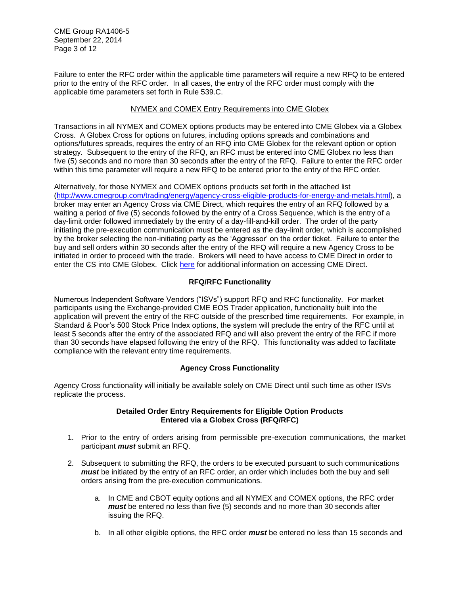CME Group RA1406-5 September 22, 2014 Page 3 of 12

Failure to enter the RFC order within the applicable time parameters will require a new RFQ to be entered prior to the entry of the RFC order. In all cases, the entry of the RFC order must comply with the applicable time parameters set forth in Rule 539.C.

# NYMEX and COMEX Entry Requirements into CME Globex

Transactions in all NYMEX and COMEX options products may be entered into CME Globex via a Globex Cross. A Globex Cross for options on futures, including options spreads and combinations and options/futures spreads, requires the entry of an RFQ into CME Globex for the relevant option or option strategy. Subsequent to the entry of the RFQ, an RFC must be entered into CME Globex no less than five (5) seconds and no more than 30 seconds after the entry of the RFQ. Failure to enter the RFC order within this time parameter will require a new RFQ to be entered prior to the entry of the RFC order.

Alternatively, for those NYMEX and COMEX options products set forth in the attached list [\(http://www.cmegroup.com/trading/energy/agency-cross-eligible-products-for-energy-and-metals.html\)](http://www.cmegroup.com/trading/energy/agency-cross-eligible-products-for-energy-and-metals.html), a broker may enter an Agency Cross via CME Direct, which requires the entry of an RFQ followed by a waiting a period of five (5) seconds followed by the entry of a Cross Sequence, which is the entry of a day-limit order followed immediately by the entry of a day-fill-and-kill order. The order of the party initiating the pre-execution communication must be entered as the day-limit order, which is accomplished by the broker selecting the non-initiating party as the 'Aggressor' on the order ticket. Failure to enter the buy and sell orders within 30 seconds after the entry of the RFQ will require a new Agency Cross to be initiated in order to proceed with the trade. Brokers will need to have access to CME Direct in order to enter the CS into CME Globex. Click [here](http://www.cmegroup.com/trading/cme-direct/) for additional information on accessing CME Direct.

# **RFQ/RFC Functionality**

Numerous Independent Software Vendors ("ISVs") support RFQ and RFC functionality. For market participants using the Exchange-provided CME EOS Trader application, functionality built into the application will prevent the entry of the RFC outside of the prescribed time requirements. For example, in Standard & Poor's 500 Stock Price Index options, the system will preclude the entry of the RFC until at least 5 seconds after the entry of the associated RFQ and will also prevent the entry of the RFC if more than 30 seconds have elapsed following the entry of the RFQ. This functionality was added to facilitate compliance with the relevant entry time requirements.

# **Agency Cross Functionality**

Agency Cross functionality will initially be available solely on CME Direct until such time as other ISVs replicate the process.

# **Detailed Order Entry Requirements for Eligible Option Products Entered via a Globex Cross (RFQ/RFC)**

- 1. Prior to the entry of orders arising from permissible pre-execution communications, the market participant *must* submit an RFQ.
- 2. Subsequent to submitting the RFQ, the orders to be executed pursuant to such communications *must* be initiated by the entry of an RFC order, an order which includes both the buy and sell orders arising from the pre-execution communications.
	- a. In CME and CBOT equity options and all NYMEX and COMEX options, the RFC order *must* be entered no less than five (5) seconds and no more than 30 seconds after issuing the RFQ.
	- b. In all other eligible options, the RFC order *must* be entered no less than 15 seconds and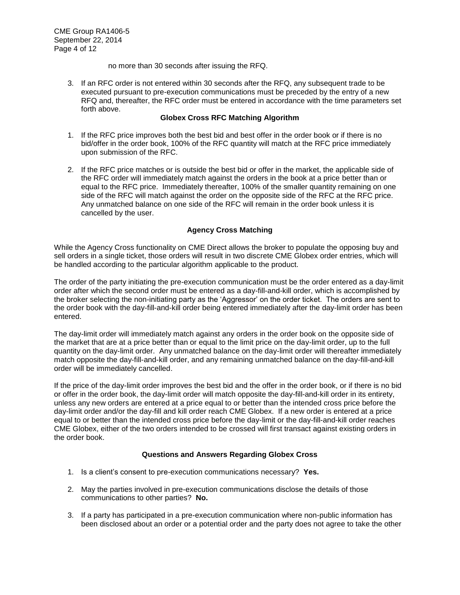CME Group RA1406-5 September 22, 2014 Page 4 of 12

no more than 30 seconds after issuing the RFQ.

3. If an RFC order is not entered within 30 seconds after the RFQ, any subsequent trade to be executed pursuant to pre-execution communications must be preceded by the entry of a new RFQ and, thereafter, the RFC order must be entered in accordance with the time parameters set forth above.

# **Globex Cross RFC Matching Algorithm**

- 1. If the RFC price improves both the best bid and best offer in the order book or if there is no bid/offer in the order book, 100% of the RFC quantity will match at the RFC price immediately upon submission of the RFC.
- 2. If the RFC price matches or is outside the best bid or offer in the market, the applicable side of the RFC order will immediately match against the orders in the book at a price better than or equal to the RFC price. Immediately thereafter, 100% of the smaller quantity remaining on one side of the RFC will match against the order on the opposite side of the RFC at the RFC price. Any unmatched balance on one side of the RFC will remain in the order book unless it is cancelled by the user.

# **Agency Cross Matching**

While the Agency Cross functionality on CME Direct allows the broker to populate the opposing buy and sell orders in a single ticket, those orders will result in two discrete CME Globex order entries, which will be handled according to the particular algorithm applicable to the product.

The order of the party initiating the pre-execution communication must be the order entered as a day-limit order after which the second order must be entered as a day-fill-and-kill order, which is accomplished by the broker selecting the non-initiating party as the 'Aggressor' on the order ticket. The orders are sent to the order book with the day-fill-and-kill order being entered immediately after the day-limit order has been entered.

The day-limit order will immediately match against any orders in the order book on the opposite side of the market that are at a price better than or equal to the limit price on the day-limit order, up to the full quantity on the day-limit order. Any unmatched balance on the day-limit order will thereafter immediately match opposite the day-fill-and-kill order, and any remaining unmatched balance on the day-fill-and-kill order will be immediately cancelled.

If the price of the day-limit order improves the best bid and the offer in the order book, or if there is no bid or offer in the order book, the day-limit order will match opposite the day-fill-and-kill order in its entirety, unless any new orders are entered at a price equal to or better than the intended cross price before the day-limit order and/or the day-fill and kill order reach CME Globex. If a new order is entered at a price equal to or better than the intended cross price before the day-limit or the day-fill-and-kill order reaches CME Globex, either of the two orders intended to be crossed will first transact against existing orders in the order book.

# **Questions and Answers Regarding Globex Cross**

- 1. Is a client's consent to pre-execution communications necessary? **Yes.**
- 2. May the parties involved in pre-execution communications disclose the details of those communications to other parties? **No.**
- 3. If a party has participated in a pre-execution communication where non-public information has been disclosed about an order or a potential order and the party does not agree to take the other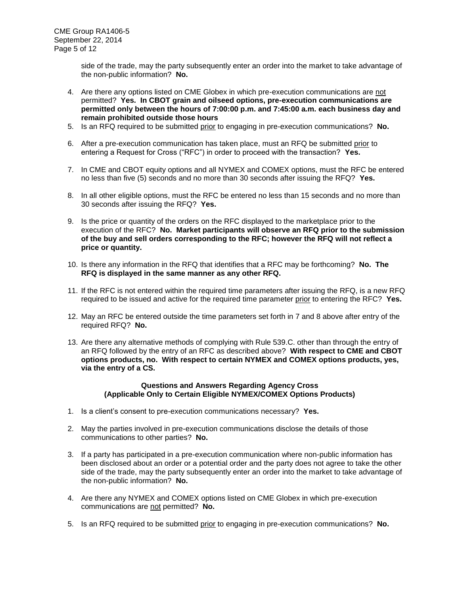side of the trade, may the party subsequently enter an order into the market to take advantage of the non-public information? **No.**

- 4. Are there any options listed on CME Globex in which pre-execution communications are not permitted? **Yes. In CBOT grain and oilseed options, pre-execution communications are permitted only between the hours of 7:00:00 p.m. and 7:45:00 a.m. each business day and remain prohibited outside those hours**
- 5. Is an RFQ required to be submitted prior to engaging in pre-execution communications? **No.**
- 6. After a pre-execution communication has taken place, must an RFQ be submitted prior to entering a Request for Cross ("RFC") in order to proceed with the transaction? **Yes.**
- 7. In CME and CBOT equity options and all NYMEX and COMEX options, must the RFC be entered no less than five (5) seconds and no more than 30 seconds after issuing the RFQ? **Yes.**
- 8. In all other eligible options, must the RFC be entered no less than 15 seconds and no more than 30 seconds after issuing the RFQ? **Yes.**
- 9. Is the price or quantity of the orders on the RFC displayed to the marketplace prior to the execution of the RFC? **No. Market participants will observe an RFQ prior to the submission of the buy and sell orders corresponding to the RFC; however the RFQ will not reflect a price or quantity.**
- 10. Is there any information in the RFQ that identifies that a RFC may be forthcoming? **No. The RFQ is displayed in the same manner as any other RFQ.**
- 11. If the RFC is not entered within the required time parameters after issuing the RFQ, is a new RFQ required to be issued and active for the required time parameter prior to entering the RFC? **Yes.**
- 12. May an RFC be entered outside the time parameters set forth in 7 and 8 above after entry of the required RFQ? **No.**
- 13. Are there any alternative methods of complying with Rule 539.C. other than through the entry of an RFQ followed by the entry of an RFC as described above? **With respect to CME and CBOT options products, no. With respect to certain NYMEX and COMEX options products, yes, via the entry of a CS.**

# **Questions and Answers Regarding Agency Cross (Applicable Only to Certain Eligible NYMEX/COMEX Options Products)**

- 1. Is a client's consent to pre-execution communications necessary? **Yes.**
- 2. May the parties involved in pre-execution communications disclose the details of those communications to other parties? **No.**
- 3. If a party has participated in a pre-execution communication where non-public information has been disclosed about an order or a potential order and the party does not agree to take the other side of the trade, may the party subsequently enter an order into the market to take advantage of the non-public information? **No.**
- 4. Are there any NYMEX and COMEX options listed on CME Globex in which pre-execution communications are not permitted? **No.**
- 5. Is an RFQ required to be submitted prior to engaging in pre-execution communications? **No.**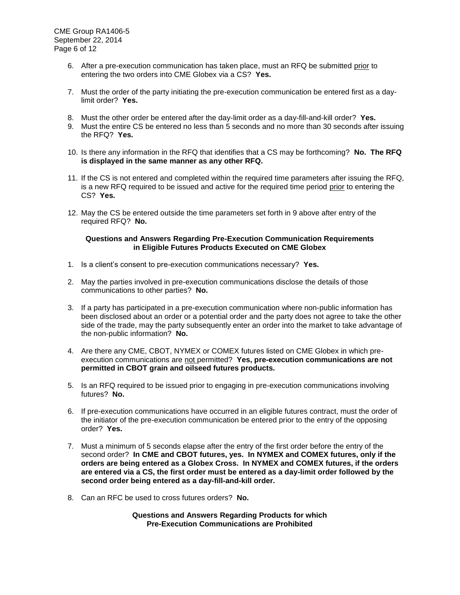- 6. After a pre-execution communication has taken place, must an RFQ be submitted prior to entering the two orders into CME Globex via a CS? **Yes.**
- 7. Must the order of the party initiating the pre-execution communication be entered first as a daylimit order? **Yes.**
- 8. Must the other order be entered after the day-limit order as a day-fill-and-kill order? **Yes.**
- 9. Must the entire CS be entered no less than 5 seconds and no more than 30 seconds after issuing the RFQ? **Yes.**
- 10. Is there any information in the RFQ that identifies that a CS may be forthcoming? **No. The RFQ is displayed in the same manner as any other RFQ.**
- 11. If the CS is not entered and completed within the required time parameters after issuing the RFQ, is a new RFQ required to be issued and active for the required time period prior to entering the CS? **Yes.**
- 12. May the CS be entered outside the time parameters set forth in 9 above after entry of the required RFQ? **No.**

# **Questions and Answers Regarding Pre-Execution Communication Requirements in Eligible Futures Products Executed on CME Globex**

- 1. Is a client's consent to pre-execution communications necessary? **Yes.**
- 2. May the parties involved in pre-execution communications disclose the details of those communications to other parties? **No.**
- 3. If a party has participated in a pre-execution communication where non-public information has been disclosed about an order or a potential order and the party does not agree to take the other side of the trade, may the party subsequently enter an order into the market to take advantage of the non-public information? **No.**
- 4. Are there any CME, CBOT, NYMEX or COMEX futures listed on CME Globex in which preexecution communications are not permitted? **Yes, pre-execution communications are not permitted in CBOT grain and oilseed futures products.**
- 5. Is an RFQ required to be issued prior to engaging in pre-execution communications involving futures? **No.**
- 6. If pre-execution communications have occurred in an eligible futures contract, must the order of the initiator of the pre-execution communication be entered prior to the entry of the opposing order? **Yes.**
- 7. Must a minimum of 5 seconds elapse after the entry of the first order before the entry of the second order? **In CME and CBOT futures, yes. In NYMEX and COMEX futures, only if the orders are being entered as a Globex Cross. In NYMEX and COMEX futures, if the orders are entered via a CS, the first order must be entered as a day-limit order followed by the second order being entered as a day-fill-and-kill order.**
- 8. Can an RFC be used to cross futures orders? **No.**

**Questions and Answers Regarding Products for which Pre-Execution Communications are Prohibited**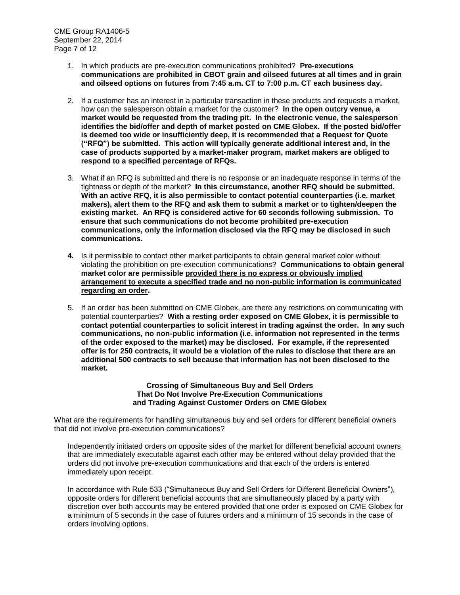- 1. In which products are pre-execution communications prohibited? **Pre-executions communications are prohibited in CBOT grain and oilseed futures at all times and in grain and oilseed options on futures from 7:45 a.m. CT to 7:00 p.m. CT each business day.**
- 2. If a customer has an interest in a particular transaction in these products and requests a market, how can the salesperson obtain a market for the customer? **In the open outcry venue, a market would be requested from the trading pit. In the electronic venue, the salesperson identifies the bid/offer and depth of market posted on CME Globex. If the posted bid/offer is deemed too wide or insufficiently deep, it is recommended that a Request for Quote ("RFQ") be submitted. This action will typically generate additional interest and, in the case of products supported by a market-maker program, market makers are obliged to respond to a specified percentage of RFQs.**
- 3. What if an RFQ is submitted and there is no response or an inadequate response in terms of the tightness or depth of the market? **In this circumstance, another RFQ should be submitted. With an active RFQ, it is also permissible to contact potential counterparties (i.e. market makers), alert them to the RFQ and ask them to submit a market or to tighten/deepen the existing market. An RFQ is considered active for 60 seconds following submission. To ensure that such communications do not become prohibited pre-execution communications, only the information disclosed via the RFQ may be disclosed in such communications.**
- **4.** Is it permissible to contact other market participants to obtain general market color without violating the prohibition on pre-execution communications? **Communications to obtain general market color are permissible provided there is no express or obviously implied arrangement to execute a specified trade and no non-public information is communicated regarding an order.**
- 5. If an order has been submitted on CME Globex, are there any restrictions on communicating with potential counterparties? **With a resting order exposed on CME Globex, it is permissible to contact potential counterparties to solicit interest in trading against the order. In any such communications, no non-public information (i.e. information not represented in the terms of the order exposed to the market) may be disclosed. For example, if the represented offer is for 250 contracts, it would be a violation of the rules to disclose that there are an additional 500 contracts to sell because that information has not been disclosed to the market.**

#### **Crossing of Simultaneous Buy and Sell Orders That Do Not Involve Pre-Execution Communications and Trading Against Customer Orders on CME Globex**

What are the requirements for handling simultaneous buy and sell orders for different beneficial owners that did not involve pre-execution communications?

Independently initiated orders on opposite sides of the market for different beneficial account owners that are immediately executable against each other may be entered without delay provided that the orders did not involve pre-execution communications and that each of the orders is entered immediately upon receipt.

In accordance with Rule 533 ("Simultaneous Buy and Sell Orders for Different Beneficial Owners"), opposite orders for different beneficial accounts that are simultaneously placed by a party with discretion over both accounts may be entered provided that one order is exposed on CME Globex for a minimum of 5 seconds in the case of futures orders and a minimum of 15 seconds in the case of orders involving options.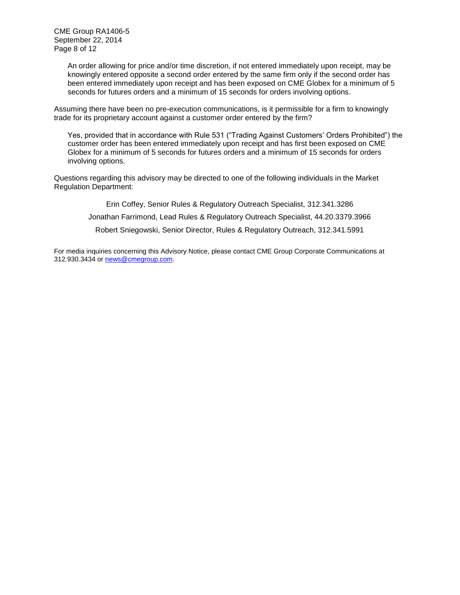An order allowing for price and/or time discretion, if not entered immediately upon receipt, may be knowingly entered opposite a second order entered by the same firm only if the second order has been entered immediately upon receipt and has been exposed on CME Globex for a minimum of 5 seconds for futures orders and a minimum of 15 seconds for orders involving options.

Assuming there have been no pre-execution communications, is it permissible for a firm to knowingly trade for its proprietary account against a customer order entered by the firm?

Yes, provided that in accordance with Rule 531 ("Trading Against Customers' Orders Prohibited") the customer order has been entered immediately upon receipt and has first been exposed on CME Globex for a minimum of 5 seconds for futures orders and a minimum of 15 seconds for orders involving options.

Questions regarding this advisory may be directed to one of the following individuals in the Market Regulation Department:

> Erin Coffey, Senior Rules & Regulatory Outreach Specialist, 312.341.3286 Jonathan Farrimond, Lead Rules & Regulatory Outreach Specialist, 44.20.3379.3966 Robert Sniegowski, Senior Director, Rules & Regulatory Outreach, 312.341.5991

For media inquiries concerning this Advisory Notice, please contact CME Group Corporate Communications at 312.930.3434 or [news@cmegroup.com.](mailto:news@cmegroup.com)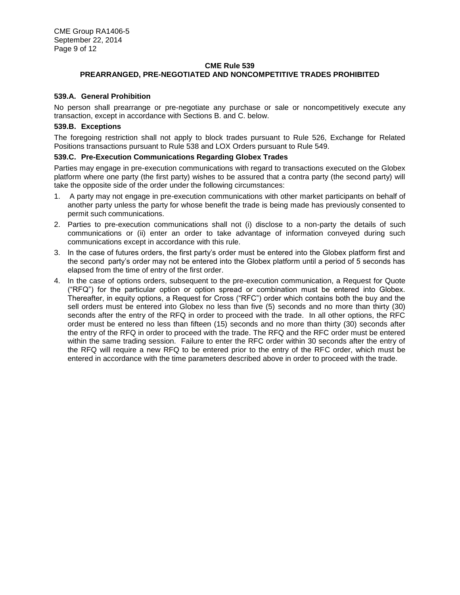# **CME Rule 539 PREARRANGED, PRE-NEGOTIATED AND NONCOMPETITIVE TRADES PROHIBITED**

# **539.A. General Prohibition**

No person shall prearrange or pre-negotiate any purchase or sale or noncompetitively execute any transaction, except in accordance with Sections B. and C. below.

# **539.B. Exceptions**

The foregoing restriction shall not apply to block trades pursuant to Rule 526, Exchange for Related Positions transactions pursuant to Rule 538 and LOX Orders pursuant to Rule 549.

# **539.C. Pre-Execution Communications Regarding Globex Trades**

Parties may engage in pre-execution communications with regard to transactions executed on the Globex platform where one party (the first party) wishes to be assured that a contra party (the second party) will take the opposite side of the order under the following circumstances:

- 1. A party may not engage in pre-execution communications with other market participants on behalf of another party unless the party for whose benefit the trade is being made has previously consented to permit such communications.
- 2. Parties to pre-execution communications shall not (i) disclose to a non-party the details of such communications or (ii) enter an order to take advantage of information conveyed during such communications except in accordance with this rule.
- 3. In the case of futures orders, the first party's order must be entered into the Globex platform first and the second party's order may not be entered into the Globex platform until a period of 5 seconds has elapsed from the time of entry of the first order.
- 4. In the case of options orders, subsequent to the pre-execution communication, a Request for Quote ("RFQ") for the particular option or option spread or combination must be entered into Globex. Thereafter, in equity options, a Request for Cross ("RFC") order which contains both the buy and the sell orders must be entered into Globex no less than five (5) seconds and no more than thirty (30) seconds after the entry of the RFQ in order to proceed with the trade. In all other options, the RFC order must be entered no less than fifteen (15) seconds and no more than thirty (30) seconds after the entry of the RFQ in order to proceed with the trade. The RFQ and the RFC order must be entered within the same trading session. Failure to enter the RFC order within 30 seconds after the entry of the RFQ will require a new RFQ to be entered prior to the entry of the RFC order, which must be entered in accordance with the time parameters described above in order to proceed with the trade.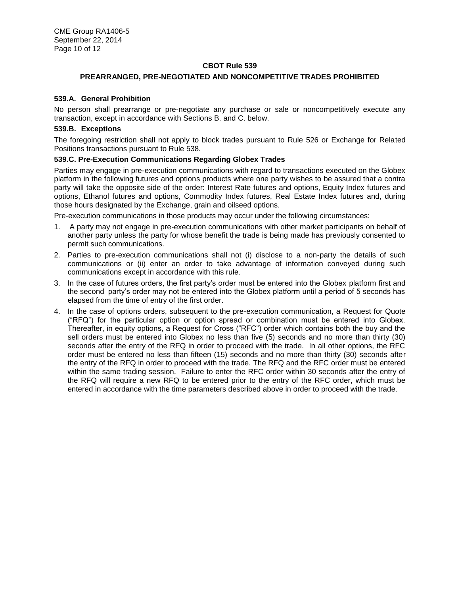# **CBOT Rule 539**

# **PREARRANGED, PRE-NEGOTIATED AND NONCOMPETITIVE TRADES PROHIBITED**

# **539.A. General Prohibition**

No person shall prearrange or pre-negotiate any purchase or sale or noncompetitively execute any transaction, except in accordance with Sections B. and C. below.

# **539.B. Exceptions**

The foregoing restriction shall not apply to block trades pursuant to Rule 526 or Exchange for Related Positions transactions pursuant to Rule 538.

# **539.C. Pre-Execution Communications Regarding Globex Trades**

Parties may engage in pre-execution communications with regard to transactions executed on the Globex platform in the following futures and options products where one party wishes to be assured that a contra party will take the opposite side of the order: Interest Rate futures and options, Equity Index futures and options, Ethanol futures and options, Commodity Index futures, Real Estate Index futures and, during those hours designated by the Exchange, grain and oilseed options.

Pre-execution communications in those products may occur under the following circumstances:

- 1. A party may not engage in pre-execution communications with other market participants on behalf of another party unless the party for whose benefit the trade is being made has previously consented to permit such communications.
- 2. Parties to pre-execution communications shall not (i) disclose to a non-party the details of such communications or (ii) enter an order to take advantage of information conveyed during such communications except in accordance with this rule.
- 3. In the case of futures orders, the first party's order must be entered into the Globex platform first and the second party's order may not be entered into the Globex platform until a period of 5 seconds has elapsed from the time of entry of the first order.
- 4. In the case of options orders, subsequent to the pre-execution communication, a Request for Quote ("RFQ") for the particular option or option spread or combination must be entered into Globex. Thereafter, in equity options, a Request for Cross ("RFC") order which contains both the buy and the sell orders must be entered into Globex no less than five (5) seconds and no more than thirty (30) seconds after the entry of the RFQ in order to proceed with the trade. In all other options, the RFC order must be entered no less than fifteen (15) seconds and no more than thirty (30) seconds after the entry of the RFQ in order to proceed with the trade. The RFQ and the RFC order must be entered within the same trading session. Failure to enter the RFC order within 30 seconds after the entry of the RFQ will require a new RFQ to be entered prior to the entry of the RFC order, which must be entered in accordance with the time parameters described above in order to proceed with the trade.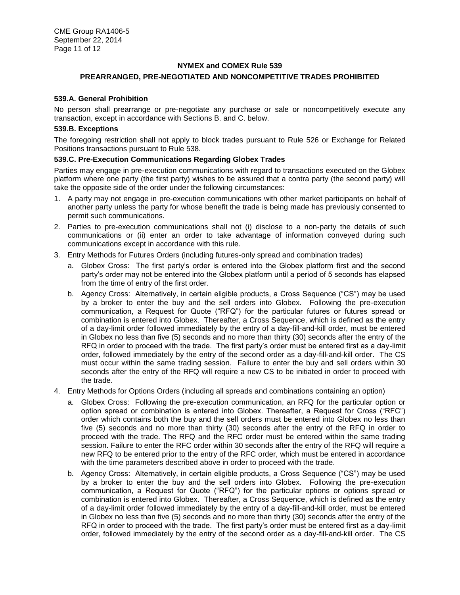# **NYMEX and COMEX Rule 539**

# **PREARRANGED, PRE-NEGOTIATED AND NONCOMPETITIVE TRADES PROHIBITED**

#### **539.A. General Prohibition**

No person shall prearrange or pre-negotiate any purchase or sale or noncompetitively execute any transaction, except in accordance with Sections B. and C. below.

# **539.B. Exceptions**

The foregoing restriction shall not apply to block trades pursuant to Rule 526 or Exchange for Related Positions transactions pursuant to Rule 538.

#### **539.C. Pre-Execution Communications Regarding Globex Trades**

Parties may engage in pre-execution communications with regard to transactions executed on the Globex platform where one party (the first party) wishes to be assured that a contra party (the second party) will take the opposite side of the order under the following circumstances:

- 1. A party may not engage in pre-execution communications with other market participants on behalf of another party unless the party for whose benefit the trade is being made has previously consented to permit such communications.
- 2. Parties to pre-execution communications shall not (i) disclose to a non-party the details of such communications or (ii) enter an order to take advantage of information conveyed during such communications except in accordance with this rule.
- 3. Entry Methods for Futures Orders (including futures-only spread and combination trades)
	- a. Globex Cross: The first party's order is entered into the Globex platform first and the second party's order may not be entered into the Globex platform until a period of 5 seconds has elapsed from the time of entry of the first order.
	- b. Agency Cross: Alternatively, in certain eligible products, a Cross Sequence ("CS") may be used by a broker to enter the buy and the sell orders into Globex. Following the pre-execution communication, a Request for Quote ("RFQ") for the particular futures or futures spread or combination is entered into Globex. Thereafter, a Cross Sequence, which is defined as the entry of a day-limit order followed immediately by the entry of a day-fill-and-kill order, must be entered in Globex no less than five (5) seconds and no more than thirty (30) seconds after the entry of the RFQ in order to proceed with the trade. The first party's order must be entered first as a day-limit order, followed immediately by the entry of the second order as a day-fill-and-kill order. The CS must occur within the same trading session. Failure to enter the buy and sell orders within 30 seconds after the entry of the RFQ will require a new CS to be initiated in order to proceed with the trade.
- 4. Entry Methods for Options Orders (including all spreads and combinations containing an option)
	- a. Globex Cross: Following the pre-execution communication, an RFQ for the particular option or option spread or combination is entered into Globex. Thereafter, a Request for Cross ("RFC") order which contains both the buy and the sell orders must be entered into Globex no less than five (5) seconds and no more than thirty (30) seconds after the entry of the RFQ in order to proceed with the trade. The RFQ and the RFC order must be entered within the same trading session. Failure to enter the RFC order within 30 seconds after the entry of the RFQ will require a new RFQ to be entered prior to the entry of the RFC order, which must be entered in accordance with the time parameters described above in order to proceed with the trade.
	- b. Agency Cross: Alternatively, in certain eligible products, a Cross Sequence ("CS") may be used by a broker to enter the buy and the sell orders into Globex. Following the pre-execution communication, a Request for Quote ("RFQ") for the particular options or options spread or combination is entered into Globex. Thereafter, a Cross Sequence, which is defined as the entry of a day-limit order followed immediately by the entry of a day-fill-and-kill order, must be entered in Globex no less than five (5) seconds and no more than thirty (30) seconds after the entry of the RFQ in order to proceed with the trade. The first party's order must be entered first as a day-limit order, followed immediately by the entry of the second order as a day-fill-and-kill order. The CS